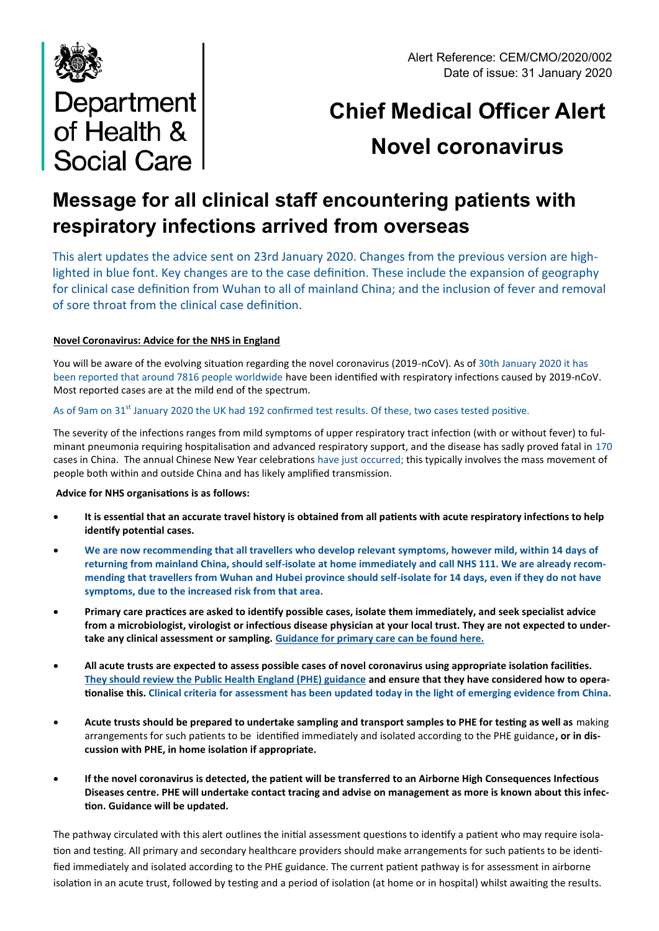



# **Chief Medical Officer Alert Novel coronavirus**

# **Message for all clinical staff encountering patients with respiratory infections arrived from overseas**

This alert updates the advice sent on 23rd January 2020. Changes from the previous version are highlighted in blue font. Key changes are to the case definition. These include the expansion of geography for clinical case definition from Wuhan to all of mainland China; and the inclusion of fever and removal of sore throat from the clinical case definition.

## **Novel Coronavirus: Advice for the NHS in England**

You will be aware of the evolving situation regarding the novel coronavirus (2019-nCoV). As of 30th January 2020 it has been reported that around 7816 people worldwide have been identified with respiratory infections caused by 2019-nCoV. Most reported cases are at the mild end of the spectrum.

# As of 9am on 31<sup>st</sup> January 2020 the UK had 192 confirmed test results. Of these, two cases tested positive.

The severity of the infections ranges from mild symptoms of upper respiratory tract infection (with or without fever) to fulminant pneumonia requiring hospitalisation and advanced respiratory support, and the disease has sadly proved fatal in 170 cases in China. The annual Chinese New Year celebrations have just occurred; this typically involves the mass movement of people both within and outside China and has likely amplified transmission.

## **Advice for NHS organisations is as follows:**

- **It is essential that an accurate travel history is obtained from all patients with acute respiratory infections to help identify potential cases.**
- **We are now recommending that all travellers who develop relevant symptoms, however mild, within 14 days of returning from mainland China, should self-isolate at home immediately and call NHS 111. We are already recommending that travellers from Wuhan and Hubei province should self-isolate for 14 days, even if they do not have symptoms, due to the increased risk from that area.**
- **Primary care practices are asked to identify possible cases, isolate them immediately, and seek specialist advice from a microbiologist, virologist or infectious disease physician at your local trust. They are not expected to undertake any clinical assessment or sampling. [Guidance for primary care can be found here.](https://www.gov.uk/government/publications/wn-cov-guidance-for-primary-care)**
- **All acute trusts are expected to assess possible cases of novel coronavirus using appropriate isolation facilities. [They should review the Public Health England \(PHE\) guidance](https://www.gov.uk/government/collections/wuhan-novel-coronavirus) and ensure that they have considered how to operationalise this. Clinical criteria for assessment has been updated today in the light of emerging evidence from China.**
- **Acute trusts should be prepared to undertake sampling and transport samples to PHE for testing as well as** making arrangements for such patients to be identified immediately and isolated according to the PHE guidance**, or in discussion with PHE, in home isolation if appropriate.**
- **If the novel coronavirus is detected, the patient will be transferred to an Airborne High Consequences Infectious Diseases centre. PHE will undertake contact tracing and advise on management as more is known about this infection. Guidance will be updated.**

The pathway circulated with this alert outlines the initial assessment questions to identify a patient who may require isolation and testing. All primary and secondary healthcare providers should make arrangements for such patients to be identified immediately and isolated according to the PHE guidance. The current patient pathway is for assessment in airborne isolation in an acute trust, followed by testing and a period of isolation (at home or in hospital) whilst awaiting the results.